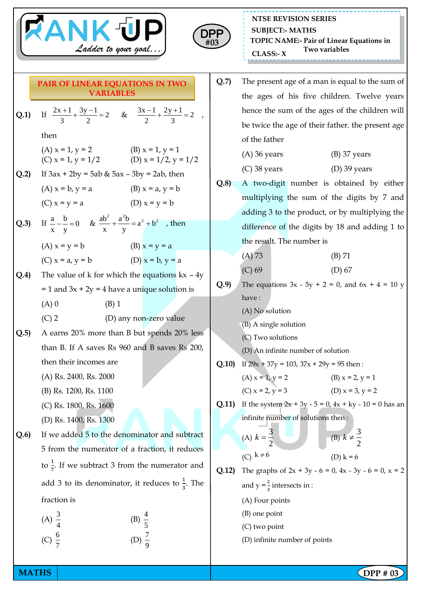



**NTSE REVISION SERIES TOPIC NAME:- Pair of Linear Equations in Two variables CLASS:- <sup>X</sup> SUBJECT:- MATHS**

- **Q.1)** If  $\frac{2x+1}{2} + \frac{3y-1}{2} = 2$ 3 2  $\frac{+1}{2} + \frac{3y-1}{2} = 2$  &  $\frac{3x-1}{2} + \frac{2y+1}{2} = 2$ 2 3  $\frac{-1}{2} + \frac{2y+1}{2} = 2$ , then (A)  $x = 1$ ,  $y = 2$  (B)  $x = 1$ ,  $y = 1$ (C)  $x = 1$ ,  $y = 1/2$  (D)  $x = 1/2$ ,  $y = 1/2$ **Q.2**) If  $3ax + 2by = 5ab & 5ax - 3by = 2ab$ , then (A)  $x = b$ ,  $y = a$  (B)  $x = a$ ,  $y = b$ (C)  $x = y = a$  (D)  $x = y = b$ **Q.3**) If  $\frac{a}{2} - \frac{b}{2} = 0$ x y  $-\frac{b}{-} = 0$  &  $\frac{ab^2}{+} + \frac{a^2b}{-} = a^2 + b^2$ x y  $+\frac{a}{b}$  =  $a^2 + b^2$ , then (A)  $x = y = b$  (B)  $x = y = a$ (C)  $x = a$ ,  $y = b$  (D)  $x = b$ ,  $y = a$ **Q.4)** The value of k for which the equations kx – 4y  $= 1$  and  $3x + 2y = 4$  have a unique solution is  $(A) 0$  (B) 1 (C) 2 (D) any non-zero value **Q.5)** A earns 20% more than B but spends 20% less than B. If A saves Rs 960 and B saves Rs 200, then their incomes are (A) Rs. 2400, Rs. 2000 (B) Rs. 1200, Rs. 1100 (C) Rs. 1800, Rs. 1600 (D) Rs. 1400, Rs. 1300 **Q.6)** If we added 5 to the denominator and subtract 5 from the numerator of a fraction, it reduces to  $\frac{1}{7}$ . If we subtract 3 from the numerator and add 3 to its denominator, it reduces to  $\frac{1}{3}$ . The fraction is (A)  $\frac{3}{4}$ 4 (B)  $\frac{4}{7}$ 5 (C)  $\frac{6}{7}$ 7 (D)  $\frac{7}{9}$ 9 **PAIR OF LINEAR EQUATIONS IN TWO VARIABLES**
	- **Q.7)** The present age of a man is equal to the sum of the ages of his five children. Twelve years hence the sum of the ages of the children will be twice the age of their father. the present age of the father

| $(B)$ 37 years |
|----------------|
|                |

- (C) 38 years (D) 39 years
- **Q.8)** A two-digit number is obtained by either multiplying the sum of the digits by 7 and adding 3 to the product, or by multiplying the difference of the digits by 18 and adding 1 to the result. The number is

(A) 73 (B) 71

- (C) 69 (D) 67 **Q.9**) The equations  $3x - 5y + 2 = 0$ , and  $6x + 4 = 10 y$
- have :
	- (A) No solution
	- (B) A single solution
	- (C) Two solutions
	- (D) An infinite number of solution
- **Q.10)** If  $29x + 37y = 103$ ,  $37x + 29y = 95$  then:
	- (A)  $x = 1$ ,  $y = 2$  (B)  $x = 2$ ,  $y = 1$ (C)  $x = 2, y = 3$  (D)  $x = 3, y = 2$
- **Q.11)** If the system  $2x + 3y 5 = 0$ ,  $4x + ky 10 = 0$  has an infinite number of solutions then :

(A) 
$$
k = \frac{3}{2}
$$
  
\n(B)  $k \neq \frac{3}{2}$   
\n(C)  $k \neq 6$   
\n(D)  $k = 6$ 

- **Q.12**) The graphs of  $2x + 3y 6 = 0$ ,  $4x 3y 6 = 0$ ,  $x = 2$ and  $y = \frac{2}{3}$  intersects in : (A) Four points
	- (B) one point
	- (C) two point
	- (D) infinite number of points

2 *k*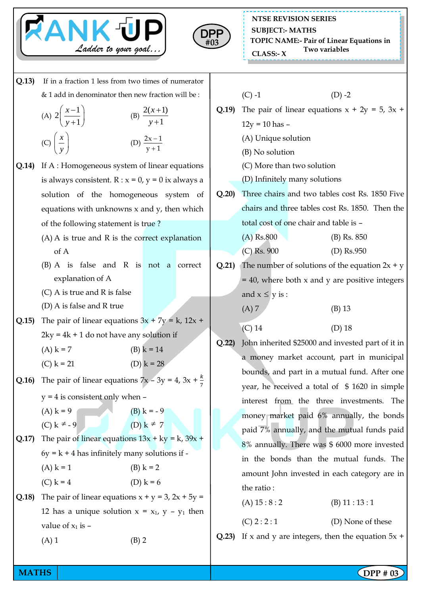



**NTSE REVISION SERIES TOPIC NAME:- Pair of Linear Equations in Two variables CLASS:- <sup>X</sup> SUBJECT:- MATHS**

**Q.13)** If in a fraction 1 less from two times of numerator & 1 add in denominator then new fraction will be :

(A) 
$$
2\left(\frac{x-1}{y+1}\right)
$$
 \t\t (B)  $\frac{2(x+1)}{y+1}$   
(C)  $\left(\frac{x}{y}\right)$  \t\t (D)  $\frac{2x-1}{y+1}$ 

- **Q.14)** If A : Homogeneous system of linear equations is always consistent.  $R : x = 0$ ,  $y = 0$  ix always a solution of the homogeneous system of equations with unknowns  $x$  and  $y$ , then which of the following statement is true ?
	- (A) A is true and R is the correct explanation of A
	- (B) A is false and R is not a correct explanation of A
	- (C) A is true and R is false
	- (D) A is false and R true
- **Q.15)** The pair of linear equations  $3x + 7y = k$ ,  $12x +$  $2ky = 4k + 1$  do not have any solution if
	- (A)  $k = 7$  (B)  $k = 14$
	- (C)  $k = 21$  (D)  $k = 28$
- **Q.16)** The pair of linear equations  $7x 3y = 4$ ,  $3x + \frac{4}{7}$ 
	- $y = 4$  is consistent only when  $-$
	- (A)  $k = 9$  (B)  $k = -9$  $(C) k \neq -9$  (D) k
- **Q.17)** The pair of linear equations  $13x + ky = k$ ,  $39x +$  $6y = k + 4$  has infinitely many solutions if -

 $\neq$  7

(A)  $k = 1$  (B)  $k = 2$ 

- (C)  $k = 4$  (D)  $k = 6$
- **Q.18)** The pair of linear equations  $x + y = 3$ ,  $2x + 5y =$ 12 has a unique solution  $x = x_1$ ,  $y - y_1$  then value of  $x_1$  is  $-$ 
	- $(A) 1$  (B) 2

 $(C) -1$  (D) -2 **Q.19)** The pair of linear equations  $x + 2y = 5$ ,  $3x +$  $12y = 10$  has  $-$ (A) Unique solution (B) No solution (C) More than two solution

- (D) Infinitely many solutions
- **Q.20)** Three chairs and two tables cost Rs. 1850 Five chairs and three tables cost Rs. 1850. Then the total cost of one chair and table is –
	- (A) Rs.800 (B) Rs. 850
		- (C) Rs. 900 (D) Rs.950
- **Q.21)** The number of solutions of the equation  $2x + y$  $=$  40, where both x and y are positive integers and  $x \leq y$  is :
	- (A) 7 (B) 13
	- (C) 14 (D) 18
- **Q.22)** John inherited \$25000 and invested part of it in a money market account, part in municipal bounds, and part in a mutual fund. After one year, he received a total of \$ 1620 in simple interest from the three investments. The money market paid 6% annually, the bonds paid 7% annually, and the mutual funds paid 8% annually. There was \$ 6000 more invested in the bonds than the mutual funds. The amount John invested in each category are in the ratio :

 $(C) 2 : 2 : 1$  (D) None of these

**Q.23)** If x and y are integers, then the equation  $5x +$ 

**MATHS**  $\begin{bmatrix} \text{DPP } # 03 \end{bmatrix}$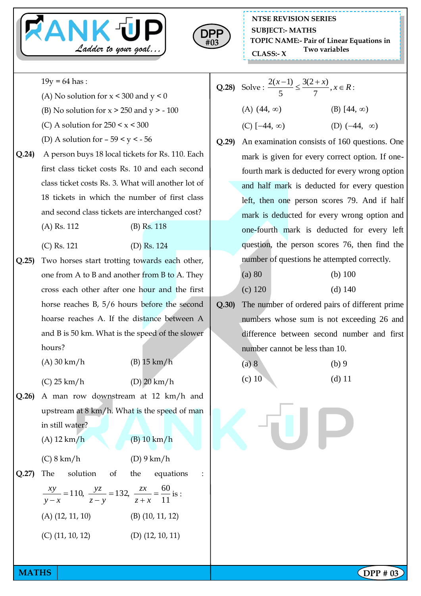



 $19y = 64$  has :

- (A) No solution for  $x < 300$  and  $y < 0$
- (B) No solution for  $x > 250$  and  $y > -100$
- (C) A solution for  $250 \le x \le 300$
- (D) A solution for  $-59 < y < -56$
- **Q.24)** A person buys 18 local tickets for Rs. 110. Each first class ticket costs Rs. 10 and each second class ticket costs Rs. 3. What will another lot of 18 tickets in which the number of first class and second class tickets are interchanged cost?
	- (A) Rs. 112 (B) Rs. 118
	- (C) Rs. 121 (D) Rs. 124
- **Q.25)** Two horses start trotting towards each other, one from A to B and another from B to A. They cross each other after one hour and the first horse reaches B, 5/6 hours before the second hoarse reaches A. If the distance between A and B is 50 km. What is the speed of the slower hours?
	- (A) 30 km/h (B) 15 km/h
	- (C) 25 km/h (D) 20 km/h
- **Q.26)** A man row downstream at 12 km/h and upstream at 8 km/h. What is the speed of man in still water?

(C) 8 km/h (D) 9 km/h

(A) 12 km/h (B) 10 km/h

- **Q.27)** The solution of the equations : 11 110,  $\frac{yz}{z} = 132$ ,  $\frac{zx}{z} = \frac{60}{11}$  $\overline{+}$  $=$  $\overline{a}$  $=$  $-x$   $z-y$   $z+x$ *zx z y yz y x xy* is : (A) (12, 11, 10) (B) (10, 11, 12)
	- (C) (11, 10, 12) (D) (12, 10, 11)
- **Q.28** Solve :  $\frac{2(x-1)}{5} \le \frac{3(2+x)}{7}$ ,  $\frac{x-1}{5} \leq \frac{3(2+x)}{7}, x \in R$  $(A)$   $(44, \infty)$  $(B)$  [44,  $\infty$ )  $(C)$  [-44,  $\infty$ ) (D)  $(-44, \infty)$
- **Q.29)** An examination consists of 160 questions. One mark is given for every correct option. If onefourth mark is deducted for every wrong option and half mark is deducted for every question left, then one person scores 79. And if half mark is deducted for every wrong option and one-fourth mark is deducted for every left question, the person scores 76, then find the number of questions he attempted correctly.
	- (a) 80 (b) 100
	- (c) 120 (d) 140
- **Q.30)** The number of ordered pairs of different prime numbers whose sum is not exceeding 26 and difference between second number and first number cannot be less than 10.

(a) 8 (b) 9 (c) 10 (d) 11